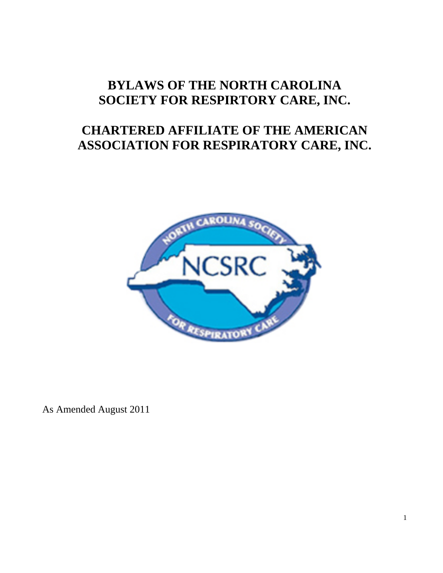# **BYLAWS OF THE NORTH CAROLINA SOCIETY FOR RESPIRTORY CARE, INC.**

# **CHARTERED AFFILIATE OF THE AMERICAN ASSOCIATION FOR RESPIRATORY CARE, INC.**



As Amended August 2011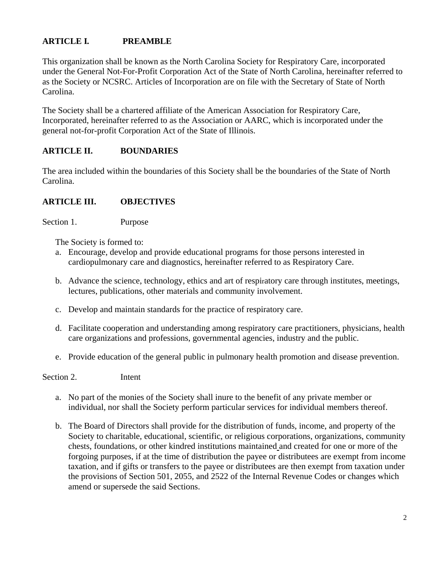# **ARTICLE I***.* **PREAMBLE**

This organization shall be known as the North Carolina Society for Respiratory Care, incorporated under the General Not-For-Profit Corporation Act of the State of North Carolina, hereinafter referred to as the Society or NCSRC. Articles of Incorporation are on file with the Secretary of State of North Carolina.

The Society shall be a chartered affiliate of the American Association for Respiratory Care, Incorporated, hereinafter referred to as the Association or AARC, which is incorporated under the general not-for-profit Corporation Act of the State of Illinois.

## **ARTICLE II. BOUNDARIES**

The area included within the boundaries of this Society shall be the boundaries of the State of North Carolina.

#### **ARTICLE III. OBJECTIVES**

Section 1. Purpose

The Society is formed to:

- a. Encourage, develop and provide educational programs for those persons interested in cardiopulmonary care and diagnostics, hereinafter referred to as Respiratory Care.
- b. Advance the science, technology, ethics and art of respiratory care through institutes, meetings, lectures, publications, other materials and community involvement.
- c. Develop and maintain standards for the practice of respiratory care.
- d. Facilitate cooperation and understanding among respiratory care practitioners, physicians, health care organizations and professions, governmental agencies, industry and the public.
- e. Provide education of the general public in pulmonary health promotion and disease prevention.

Section 2. Intent

- a. No part of the monies of the Society shall inure to the benefit of any private member or individual, nor shall the Society perform particular services for individual members thereof.
- b. The Board of Directors shall provide for the distribution of funds, income, and property of the Society to charitable, educational, scientific, or religious corporations, organizations, community chests, foundations, or other kindred institutions maintained and created for one or more of the forgoing purposes, if at the time of distribution the payee or distributees are exempt from income taxation, and if gifts or transfers to the payee or distributees are then exempt from taxation under the provisions of Section 501, 2055, and 2522 of the Internal Revenue Codes or changes which amend or supersede the said Sections.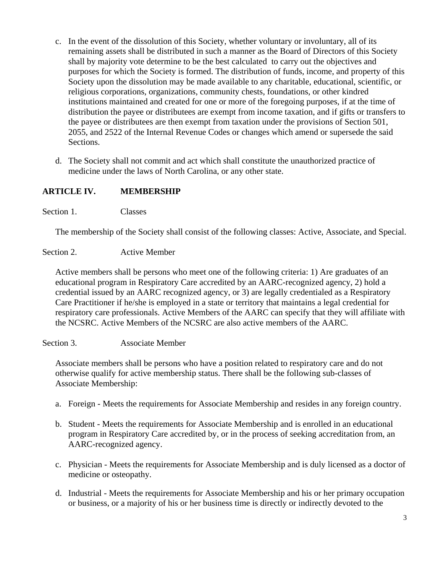- c. In the event of the dissolution of this Society, whether voluntary or involuntary, all of its remaining assets shall be distributed in such a manner as the Board of Directors of this Society shall by majority vote determine to be the best calculated to carry out the objectives and purposes for which the Society is formed. The distribution of funds, income, and property of this Society upon the dissolution may be made available to any charitable, educational, scientific, or religious corporations, organizations, community chests, foundations, or other kindred institutions maintained and created for one or more of the foregoing purposes, if at the time of distribution the payee or distributees are exempt from income taxation, and if gifts or transfers to the payee or distributees are then exempt from taxation under the provisions of Section 501, 2055, and 2522 of the Internal Revenue Codes or changes which amend or supersede the said Sections.
- d. The Society shall not commit and act which shall constitute the unauthorized practice of medicine under the laws of North Carolina, or any other state.

# **ARTICLE IV. MEMBERSHIP**

Section 1. Classes

The membership of the Society shall consist of the following classes: Active, Associate, and Special.

## Section 2. Active Member

Active members shall be persons who meet one of the following criteria: 1) Are graduates of an educational program in Respiratory Care accredited by an AARC-recognized agency, 2) hold a credential issued by an AARC recognized agency, or 3) are legally credentialed as a Respiratory Care Practitioner if he/she is employed in a state or territory that maintains a legal credential for respiratory care professionals. Active Members of the AARC can specify that they will affiliate with the NCSRC. Active Members of the NCSRC are also active members of the AARC.

#### Section 3. Associate Member

Associate members shall be persons who have a position related to respiratory care and do not otherwise qualify for active membership status. There shall be the following sub-classes of Associate Membership:

- a. Foreign Meets the requirements for Associate Membership and resides in any foreign country.
- b. Student Meets the requirements for Associate Membership and is enrolled in an educational program in Respiratory Care accredited by, or in the process of seeking accreditation from, an AARC-recognized agency.
- c. Physician Meets the requirements for Associate Membership and is duly licensed as a doctor of medicine or osteopathy.
- d. Industrial Meets the requirements for Associate Membership and his or her primary occupation or business, or a majority of his or her business time is directly or indirectly devoted to the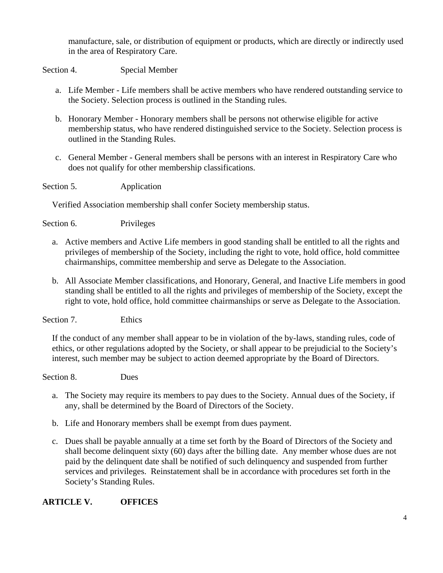manufacture, sale, or distribution of equipment or products, which are directly or indirectly used in the area of Respiratory Care.

Section 4. Special Member

- a. Life Member Life members shall be active members who have rendered outstanding service to the Society. Selection process is outlined in the Standing rules.
- b. Honorary Member Honorary members shall be persons not otherwise eligible for active membership status, who have rendered distinguished service to the Society. Selection process is outlined in the Standing Rules.
- c. General Member General members shall be persons with an interest in Respiratory Care who does not qualify for other membership classifications.

Section 5. Application

Verified Association membership shall confer Society membership status.

Section 6. Privileges

- a. Active members and Active Life members in good standing shall be entitled to all the rights and privileges of membership of the Society, including the right to vote, hold office, hold committee chairmanships, committee membership and serve as Delegate to the Association.
- b. All Associate Member classifications*,* and Honorary, General*,* and Inactive Life members in good standing shall be entitled to all the rights and privileges of membership of the Society, except the right to vote, hold office, hold committee chairmanships or serve as Delegate to the Association.

Section 7. Ethics

If the conduct of any member shall appear to be in violation of the by-laws, standing rules, code of ethics, or other regulations adopted by the Society, or shall appear to be prejudicial to the Society's interest, such member may be subject to action deemed appropriate by the Board of Directors.

Section 8. Dues

- a. The Society may require its members to pay dues to the Society. Annual dues of the Society, if any, shall be determined by the Board of Directors of the Society.
- b. Life and Honorary members shall be exempt from dues payment.
- c. Dues shall be payable annually at a time set forth by the Board of Directors of the Society and shall become delinquent sixty (60) days after the billing date. Any member whose dues are not paid by the delinquent date shall be notified of such delinquency and suspended from further services and privileges. Reinstatement shall be in accordance with procedures set forth in the Society's Standing Rules.

# **ARTICLE V. OFFICES**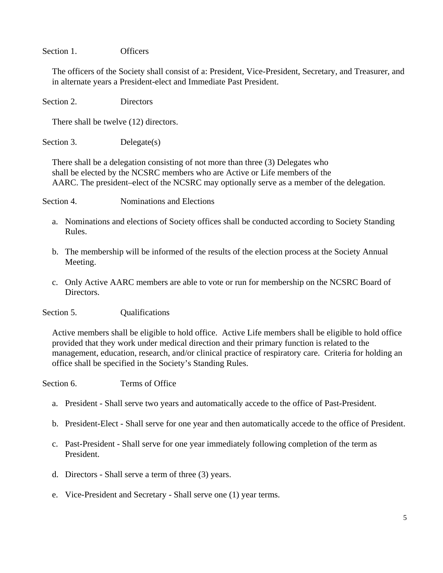Section 1. Officers

The officers of the Society shall consist of a: President, Vice-President, Secretary, and Treasurer, and in alternate years a President-elect and Immediate Past President.

Section 2. Directors

There shall be twelve (12) directors.

Section 3. Delegate(s)

 There shall be a delegation consisting of not more than three (3) Delegates who shall be elected by the NCSRC members who are Active or Life members of the AARC. The president–elect of the NCSRC may optionally serve as a member of the delegation.

Section 4. Nominations and Elections

- a. Nominations and elections of Society offices shall be conducted according to Society Standing Rules.
- b. The membership will be informed of the results of the election process at the Society Annual Meeting.
- c. Only Active AARC members are able to vote or run for membership on the NCSRC Board of Directors.
- Section 5. Qualifications

Active members shall be eligible to hold office. Active Life members shall be eligible to hold office provided that they work under medical direction and their primary function is related to the management, education, research, and/or clinical practice of respiratory care. Criteria for holding an office shall be specified in the Society's Standing Rules.

Section 6. Terms of Office

- a. President Shall serve two years and automatically accede to the office of Past-President.
- b. President-Elect Shall serve for one year and then automatically accede to the office of President.
- c. Past-President Shall serve for one year immediately following completion of the term as President.
- d. Directors Shall serve a term of three (3) years.
- e. Vice-President and Secretary Shall serve one (1) year terms.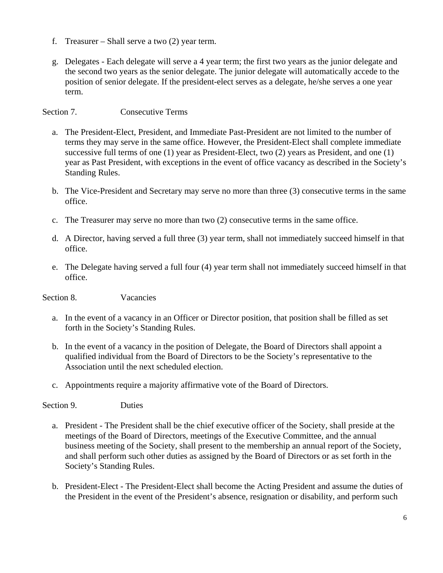- f. Treasurer Shall serve a two (2) year term.
- g. Delegates Each delegate will serve a 4 year term; the first two years as the junior delegate and the second two years as the senior delegate. The junior delegate will automatically accede to the position of senior delegate. If the president-elect serves as a delegate, he/she serves a one year term.

Section 7. Consecutive Terms

- a. The President-Elect, President, and Immediate Past-President are not limited to the number of terms they may serve in the same office. However, the President-Elect shall complete immediate successive full terms of one (1) year as President-Elect, two (2) years as President, and one (1) year as Past President, with exceptions in the event of office vacancy as described in the Society's Standing Rules.
- b. The Vice-President and Secretary may serve no more than three (3) consecutive terms in the same office.
- c. The Treasurer may serve no more than two (2) consecutive terms in the same office.
- d. A Director, having served a full three (3) year term, shall not immediately succeed himself in that office.
- e. The Delegate having served a full four (4) year term shall not immediately succeed himself in that office.

Section 8. Vacancies

- a. In the event of a vacancy in an Officer or Director position, that position shall be filled as set forth in the Society's Standing Rules.
- b. In the event of a vacancy in the position of Delegate, the Board of Directors shall appoint a qualified individual from the Board of Directors to be the Society's representative to the Association until the next scheduled election.
- c. Appointments require a majority affirmative vote of the Board of Directors.

Section 9. Duties

- a. President The President shall be the chief executive officer of the Society, shall preside at the meetings of the Board of Directors, meetings of the Executive Committee, and the annual business meeting of the Society, shall present to the membership an annual report of the Society, and shall perform such other duties as assigned by the Board of Directors or as set forth in the Society's Standing Rules.
- b. President-Elect The President-Elect shall become the Acting President and assume the duties of the President in the event of the President's absence, resignation or disability, and perform such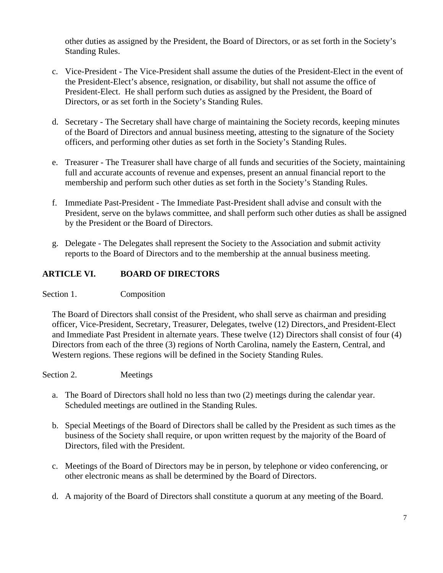other duties as assigned by the President, the Board of Directors, or as set forth in the Society's Standing Rules.

- c. Vice-President The Vice-President shall assume the duties of the President-Elect in the event of the President-Elect's absence, resignation, or disability, but shall not assume the office of President-Elect. He shall perform such duties as assigned by the President, the Board of Directors, or as set forth in the Society's Standing Rules.
- d. Secretary The Secretary shall have charge of maintaining the Society records, keeping minutes of the Board of Directors and annual business meeting, attesting to the signature of the Society officers, and performing other duties as set forth in the Society's Standing Rules.
- e. Treasurer The Treasurer shall have charge of all funds and securities of the Society, maintaining full and accurate accounts of revenue and expenses, present an annual financial report to the membership and perform such other duties as set forth in the Society's Standing Rules.
- f. Immediate Past-President The Immediate Past-President shall advise and consult with the President, serve on the bylaws committee, and shall perform such other duties as shall be assigned by the President or the Board of Directors.
- g. Delegate The Delegates shall represent the Society to the Association and submit activity reports to the Board of Directors and to the membership at the annual business meeting.

# **ARTICLE VI. BOARD OF DIRECTORS**

## Section 1. Composition

The Board of Directors shall consist of the President, who shall serve as chairman and presiding officer, Vice-President, Secretary, Treasurer, Delegates, twelve (12) Directors, and President-Elect and Immediate Past President in alternate years. These twelve (12) Directors shall consist of four (4) Directors from each of the three (3) regions of North Carolina, namely the Eastern, Central, and Western regions. These regions will be defined in the Society Standing Rules.

#### Section 2. Meetings

- a. The Board of Directors shall hold no less than two (2) meetings during the calendar year. Scheduled meetings are outlined in the Standing Rules.
- b. Special Meetings of the Board of Directors shall be called by the President as such times as the business of the Society shall require, or upon written request by the majority of the Board of Directors, filed with the President.
- c. Meetings of the Board of Directors may be in person, by telephone or video conferencing, or other electronic means as shall be determined by the Board of Directors.
- d. A majority of the Board of Directors shall constitute a quorum at any meeting of the Board.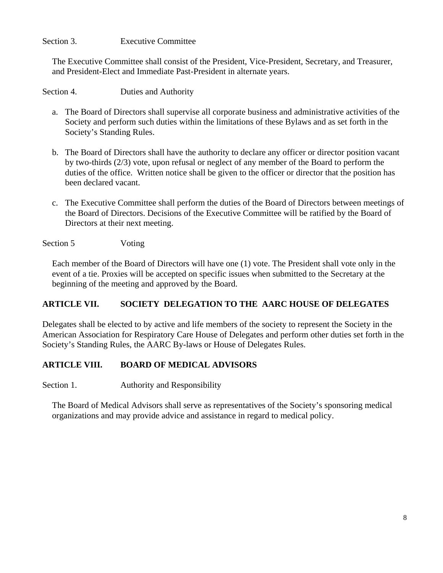## Section 3. Executive Committee

The Executive Committee shall consist of the President, Vice-President, Secretary, and Treasurer, and President-Elect and Immediate Past-President in alternate years.

Section 4. Duties and Authority

- a. The Board of Directors shall supervise all corporate business and administrative activities of the Society and perform such duties within the limitations of these Bylaws and as set forth in the Society's Standing Rules.
- b. The Board of Directors shall have the authority to declare any officer or director position vacant by two-thirds (2/3) vote, upon refusal or neglect of any member of the Board to perform the duties of the office. Written notice shall be given to the officer or director that the position has been declared vacant.
- c. The Executive Committee shall perform the duties of the Board of Directors between meetings of the Board of Directors. Decisions of the Executive Committee will be ratified by the Board of Directors at their next meeting.

#### Section 5 Voting

Each member of the Board of Directors will have one (1) vote. The President shall vote only in the event of a tie. Proxies will be accepted on specific issues when submitted to the Secretary at the beginning of the meeting and approved by the Board.

## **ARTICLE VII. SOCIETY DELEGATION TO THE AARC HOUSE OF DELEGATES**

Delegates shall be elected to by active and life members of the society to represent the Society in the American Association for Respiratory Care House of Delegates and perform other duties set forth in the Society's Standing Rules, the AARC By-laws or House of Delegates Rules.

## **ARTICLE VIII. BOARD OF MEDICAL ADVISORS**

Section 1. Authority and Responsibility

The Board of Medical Advisors shall serve as representatives of the Society's sponsoring medical organizations and may provide advice and assistance in regard to medical policy.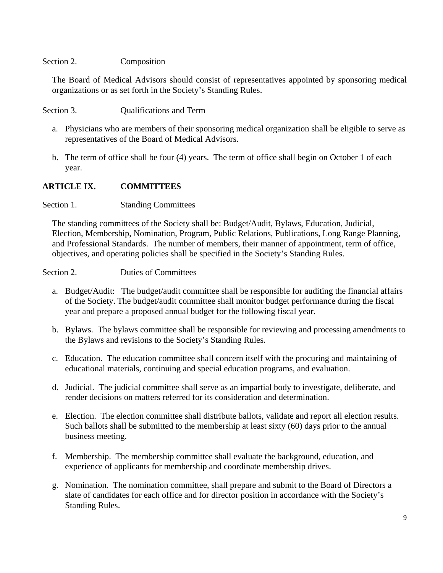#### Section 2. Composition

The Board of Medical Advisors should consist of representatives appointed by sponsoring medical organizations or as set forth in the Society's Standing Rules.

Section 3. Cualifications and Term

- a. Physicians who are members of their sponsoring medical organization shall be eligible to serve as representatives of the Board of Medical Advisors.
- b. The term of office shall be four (4) years. The term of office shall begin on October 1 of each year.

## **ARTICLE IX. COMMITTEES**

Section 1. Standing Committees

The standing committees of the Society shall be: Budget/Audit, Bylaws, Education, Judicial, Election, Membership, Nomination, Program, Public Relations, Publications, Long Range Planning, and Professional Standards. The number of members, their manner of appointment, term of office, objectives, and operating policies shall be specified in the Society's Standing Rules.

Section 2. Duties of Committees

- a. Budget/Audit: The budget/audit committee shall be responsible for auditing the financial affairs of the Society. The budget/audit committee shall monitor budget performance during the fiscal year and prepare a proposed annual budget for the following fiscal year.
- b. Bylaws. The bylaws committee shall be responsible for reviewing and processing amendments to the Bylaws and revisions to the Society's Standing Rules.
- c. Education. The education committee shall concern itself with the procuring and maintaining of educational materials, continuing and special education programs, and evaluation.
- d. Judicial. The judicial committee shall serve as an impartial body to investigate, deliberate, and render decisions on matters referred for its consideration and determination.
- e. Election. The election committee shall distribute ballots, validate and report all election results. Such ballots shall be submitted to the membership at least sixty (60) days prior to the annual business meeting.
- f. Membership. The membership committee shall evaluate the background, education, and experience of applicants for membership and coordinate membership drives.
- g. Nomination. The nomination committee, shall prepare and submit to the Board of Directors a slate of candidates for each office and for director position in accordance with the Society's Standing Rules.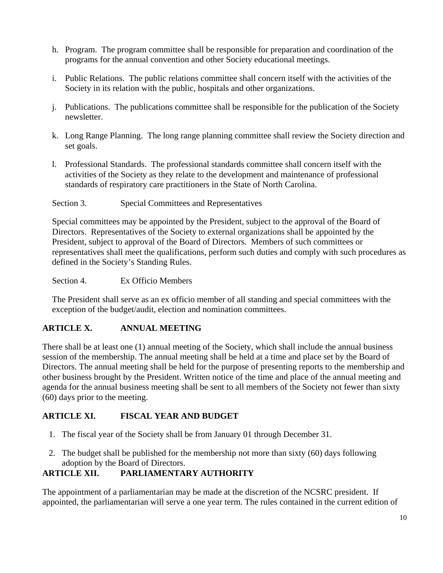- h. Program. The program committee shall be responsible for preparation and coordination of the programs for the annual convention and other Society educational meetings.
- i. Public Relations. The public relations committee shall concern itself with the activities of the Society in its relation with the public, hospitals and other organizations.
- j. Publications. The publications committee shall be responsible for the publication of the Society newsletter.
- k. Long Range Planning. The long range planning committee shall review the Society direction and set goals.
- l. Professional Standards. The professional standards committee shall concern itself with the activities of the Society as they relate to the development and maintenance of professional standards of respiratory care practitioners in the State of North Carolina.
- Section 3. Special Committees and Representatives

Special committees may be appointed by the President, subject to the approval of the Board of Directors. Representatives of the Society to external organizations shall be appointed by the President, subject to approval of the Board of Directors. Members of such committees or representatives shall meet the qualifications, perform such duties and comply with such procedures as defined in the Society's Standing Rules.

Section 4. Ex Officio Members

The President shall serve as an ex officio member of all standing and special committees with the exception of the budget/audit, election and nomination committees.

## **ARTICLE X. ANNUAL MEETING**

There shall be at least one (1) annual meeting of the Society, which shall include the annual business session of the membership. The annual meeting shall be held at a time and place set by the Board of Directors. The annual meeting shall be held for the purpose of presenting reports to the membership and other business brought by the President. Written notice of the time and place of the annual meeting and agenda for the annual business meeting shall be sent to all members of the Society not fewer than sixty (60) days prior to the meeting.

## **ARTICLE XI. FISCAL YEAR AND BUDGET**

- 1. The fiscal year of the Society shall be from January 01 through December 31.
- 2. The budget shall be published for the membership not more than sixty (60) days following adoption by the Board of Directors.

# **ARTICLE XII. PARLIAMENTARY AUTHORITY**

The appointment of a parliamentarian may be made at the discretion of the NCSRC president. If appointed, the parliamentarian will serve a one year term. The rules contained in the current edition of